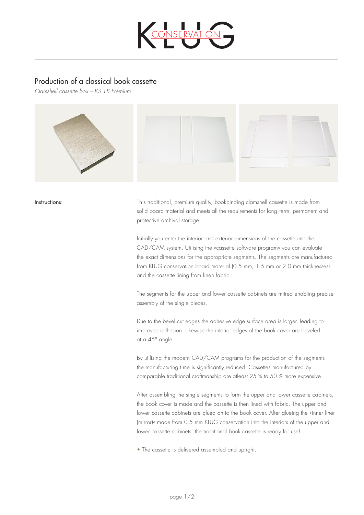

## Production of a classical book cassette

*Clamshell cassette box – KS 18 Premium*



Instructions: This traditional, premium quality, bookbinding clamshell cassette is made from solid board material and meets all the requirements for long-term, permanent and protective archival storage.

> Initially you enter the interior and exterior dimensions of the cassette into the CAD/CAM system. Utilising the »cassette software program« you can evaluate the exact dimensions for the appropriate segments. The segments are manufactured from KLUG conservation board material (0.5 mm, 1.5 mm or 2.0 mm thicknesses) and the cassette lining from linen fabric.

> The segments for the upper and lower cassette cabinets are mitred enabling precise assembly of the single pieces.

Due to the bevel cut edges the adhesive edge surface area is larger, leading to improved adhesion. Likewise the interior edges of the book cover are beveled at a 45° angle.

By utilising the modern CAD/CAM programs for the production of the segments the manufacturing time is significantly reduced. Cassettes manufactured by comparable traditional craftmanship are atleast 25 % to 50 % more expensive.

After assembling the single segments to form the upper and lower cassette cabinets, the book cover is made and the cassette is then lined with fabric. The upper and lower cassette cabinets are glued on to the book cover. After glueing the »inner liner (mirror)« made from 0.5 mm KLUG conservation into the interiors of the upper and lower cassette cabinets, the traditional book cassette is ready for use!

• The cassette is delivered assembled and upright.